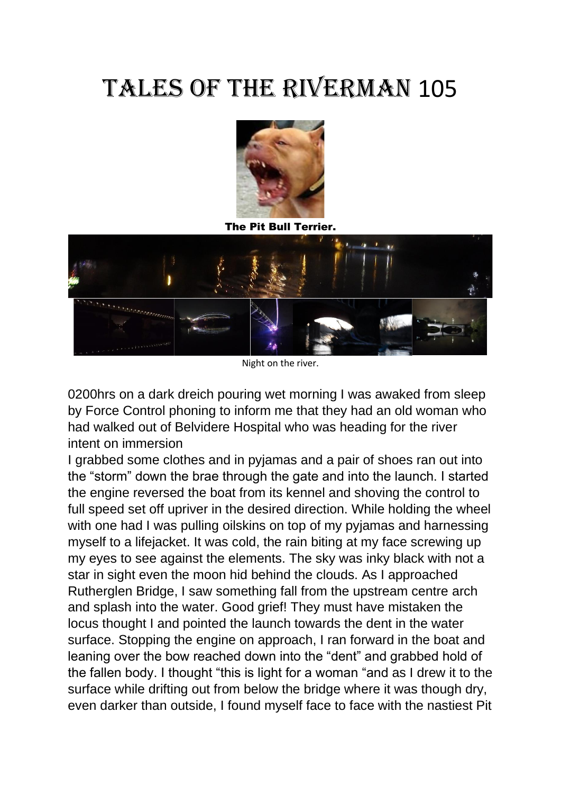## Tales of the Riverman 105



The Pit Bull Terrier.



Night on the river.

0200hrs on a dark dreich pouring wet morning I was awaked from sleep by Force Control phoning to inform me that they had an old woman who had walked out of Belvidere Hospital who was heading for the river intent on immersion

I grabbed some clothes and in pyjamas and a pair of shoes ran out into the "storm" down the brae through the gate and into the launch. I started the engine reversed the boat from its kennel and shoving the control to full speed set off upriver in the desired direction. While holding the wheel with one had I was pulling oilskins on top of my pyjamas and harnessing myself to a lifejacket. It was cold, the rain biting at my face screwing up my eyes to see against the elements. The sky was inky black with not a star in sight even the moon hid behind the clouds. As I approached Rutherglen Bridge, I saw something fall from the upstream centre arch and splash into the water. Good grief! They must have mistaken the locus thought I and pointed the launch towards the dent in the water surface. Stopping the engine on approach, I ran forward in the boat and leaning over the bow reached down into the "dent" and grabbed hold of the fallen body. I thought "this is light for a woman "and as I drew it to the surface while drifting out from below the bridge where it was though dry, even darker than outside, I found myself face to face with the nastiest Pit